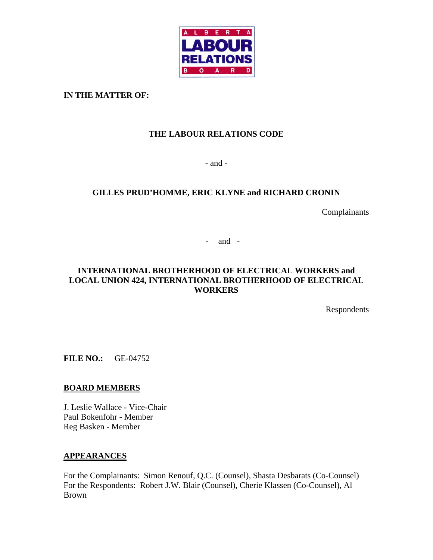

**IN THE MATTER OF:** 

# **THE LABOUR RELATIONS CODE**

- and -

# **GILLES PRUD'HOMME, ERIC KLYNE and RICHARD CRONIN**

Complainants

- and -

# **INTERNATIONAL BROTHERHOOD OF ELECTRICAL WORKERS and LOCAL UNION 424, INTERNATIONAL BROTHERHOOD OF ELECTRICAL WORKERS**

Respondents

**FILE NO.:** GE-04752

# **BOARD MEMBERS**

J. Leslie Wallace - Vice-Chair Paul Bokenfohr - Member Reg Basken - Member

## **APPEARANCES**

For the Complainants: Simon Renouf, Q.C. (Counsel), Shasta Desbarats (Co-Counsel) For the Respondents: Robert J.W. Blair (Counsel), Cherie Klassen (Co-Counsel), Al Brown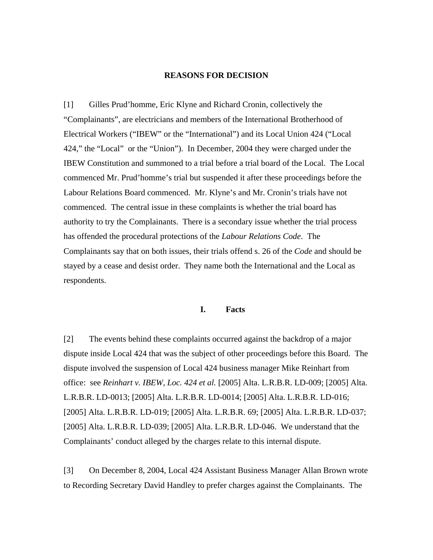#### **REASONS FOR DECISION**

[1] Gilles Prud'homme, Eric Klyne and Richard Cronin, collectively the "Complainants", are electricians and members of the International Brotherhood of Electrical Workers ("IBEW" or the "International") and its Local Union 424 ("Local 424," the "Local" or the "Union"). In December, 2004 they were charged under the IBEW Constitution and summoned to a trial before a trial board of the Local. The Local commenced Mr. Prud'homme's trial but suspended it after these proceedings before the Labour Relations Board commenced. Mr. Klyne's and Mr. Cronin's trials have not commenced. The central issue in these complaints is whether the trial board has authority to try the Complainants. There is a secondary issue whether the trial process has offended the procedural protections of the *Labour Relations Code*. The Complainants say that on both issues, their trials offend s. 26 of the *Code* and should be stayed by a cease and desist order. They name both the International and the Local as respondents.

#### **I. Facts**

[2] The events behind these complaints occurred against the backdrop of a major dispute inside Local 424 that was the subject of other proceedings before this Board. The dispute involved the suspension of Local 424 business manager Mike Reinhart from office: see *Reinhart v. IBEW, Loc. 424 et al.* [2005] Alta. L.R.B.R. LD-009; [2005] Alta. L.R.B.R. LD-0013; [2005] Alta. L.R.B.R. LD-0014; [2005] Alta. L.R.B.R. LD-016; [2005] Alta. L.R.B.R. LD-019; [2005] Alta. L.R.B.R. 69; [2005] Alta. L.R.B.R. LD-037; [2005] Alta. L.R.B.R. LD-039; [2005] Alta. L.R.B.R. LD-046. We understand that the Complainants' conduct alleged by the charges relate to this internal dispute.

[3] On December 8, 2004, Local 424 Assistant Business Manager Allan Brown wrote to Recording Secretary David Handley to prefer charges against the Complainants. The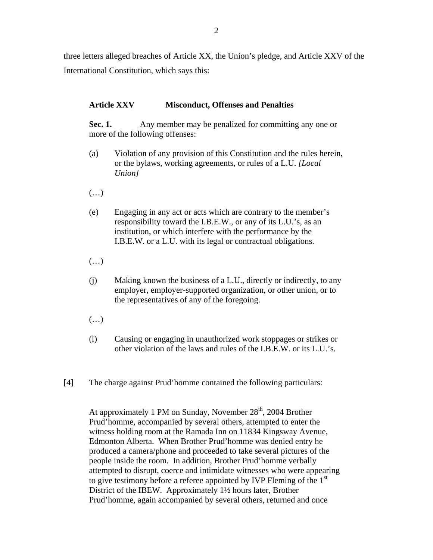three letters alleged breaches of Article XX, the Union's pledge, and Article XXV of the International Constitution, which says this:

# **Article XXV Misconduct, Offenses and Penalties**

**Sec. 1.** Any member may be penalized for committing any one or more of the following offenses:

- (a) Violation of any provision of this Constitution and the rules herein, or the bylaws, working agreements, or rules of a L.U. *[Local Union]*
- $(\ldots)$
- (e) Engaging in any act or acts which are contrary to the member's responsibility toward the I.B.E.W., or any of its L.U.'s, as an institution, or which interfere with the performance by the I.B.E.W. or a L.U. with its legal or contractual obligations.
- (…)
- (j) Making known the business of a L.U., directly or indirectly, to any employer, employer-supported organization, or other union, or to the representatives of any of the foregoing.
- $(\ldots)$
- (l) Causing or engaging in unauthorized work stoppages or strikes or other violation of the laws and rules of the I.B.E.W. or its L.U.'s.
- [4] The charge against Prud'homme contained the following particulars:

At approximately 1 PM on Sunday, November  $28<sup>th</sup>$ , 2004 Brother Prud'homme, accompanied by several others, attempted to enter the witness holding room at the Ramada Inn on 11834 Kingsway Avenue, Edmonton Alberta. When Brother Prud'homme was denied entry he produced a camera/phone and proceeded to take several pictures of the people inside the room. In addition, Brother Prud'homme verbally attempted to disrupt, coerce and intimidate witnesses who were appearing to give testimony before a referee appointed by IVP Fleming of the 1<sup>st</sup> District of the IBEW. Approximately 1½ hours later, Brother Prud'homme, again accompanied by several others, returned and once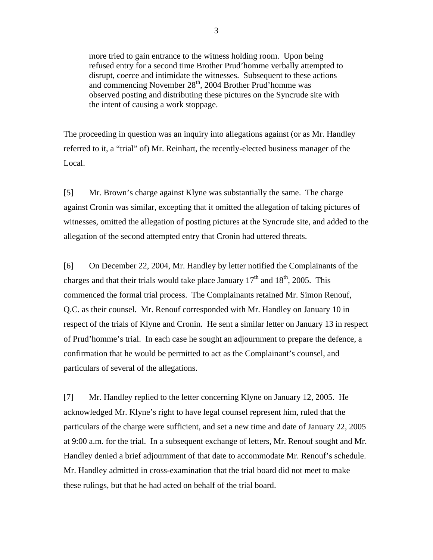more tried to gain entrance to the witness holding room. Upon being refused entry for a second time Brother Prud'homme verbally attempted to disrupt, coerce and intimidate the witnesses. Subsequent to these actions and commencing November  $28<sup>th</sup>$ , 2004 Brother Prud'homme was observed posting and distributing these pictures on the Syncrude site with the intent of causing a work stoppage.

The proceeding in question was an inquiry into allegations against (or as Mr. Handley referred to it, a "trial" of) Mr. Reinhart, the recently-elected business manager of the Local.

[5] Mr. Brown's charge against Klyne was substantially the same. The charge against Cronin was similar, excepting that it omitted the allegation of taking pictures of witnesses, omitted the allegation of posting pictures at the Syncrude site, and added to the allegation of the second attempted entry that Cronin had uttered threats.

[6] On December 22, 2004, Mr. Handley by letter notified the Complainants of the charges and that their trials would take place January  $17<sup>th</sup>$  and  $18<sup>th</sup>$ , 2005. This commenced the formal trial process. The Complainants retained Mr. Simon Renouf, Q.C. as their counsel. Mr. Renouf corresponded with Mr. Handley on January 10 in respect of the trials of Klyne and Cronin. He sent a similar letter on January 13 in respect of Prud'homme's trial. In each case he sought an adjournment to prepare the defence, a confirmation that he would be permitted to act as the Complainant's counsel, and particulars of several of the allegations.

[7] Mr. Handley replied to the letter concerning Klyne on January 12, 2005. He acknowledged Mr. Klyne's right to have legal counsel represent him, ruled that the particulars of the charge were sufficient, and set a new time and date of January 22, 2005 at 9:00 a.m. for the trial. In a subsequent exchange of letters, Mr. Renouf sought and Mr. Handley denied a brief adjournment of that date to accommodate Mr. Renouf's schedule. Mr. Handley admitted in cross-examination that the trial board did not meet to make these rulings, but that he had acted on behalf of the trial board.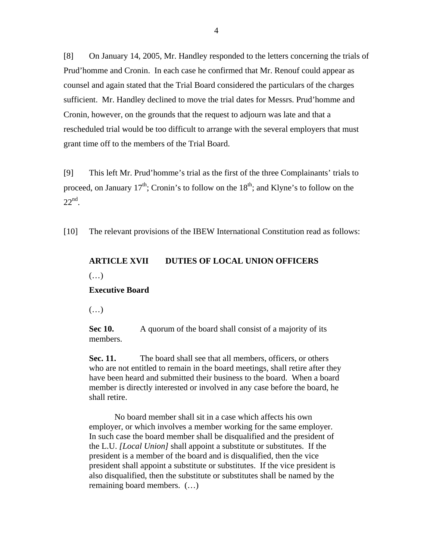[8] On January 14, 2005, Mr. Handley responded to the letters concerning the trials of Prud'homme and Cronin. In each case he confirmed that Mr. Renouf could appear as counsel and again stated that the Trial Board considered the particulars of the charges sufficient. Mr. Handley declined to move the trial dates for Messrs. Prud'homme and Cronin, however, on the grounds that the request to adjourn was late and that a rescheduled trial would be too difficult to arrange with the several employers that must grant time off to the members of the Trial Board.

[9] This left Mr. Prud'homme's trial as the first of the three Complainants' trials to proceed, on January  $17<sup>th</sup>$ ; Cronin's to follow on the  $18<sup>th</sup>$ ; and Klyne's to follow on the 22nd.

[10] The relevant provisions of the IBEW International Constitution read as follows:

# **ARTICLE XVII DUTIES OF LOCAL UNION OFFICERS**

 $(\ldots)$ 

## **Executive Board**

 $(\ldots)$ 

**Sec 10.** A quorum of the board shall consist of a majority of its members.

**Sec. 11.** The board shall see that all members, officers, or others who are not entitled to remain in the board meetings, shall retire after they have been heard and submitted their business to the board. When a board member is directly interested or involved in any case before the board, he shall retire.

No board member shall sit in a case which affects his own employer, or which involves a member working for the same employer. In such case the board member shall be disqualified and the president of the L.U. *[Local Union]* shall appoint a substitute or substitutes. If the president is a member of the board and is disqualified, then the vice president shall appoint a substitute or substitutes. If the vice president is also disqualified, then the substitute or substitutes shall be named by the remaining board members. (…)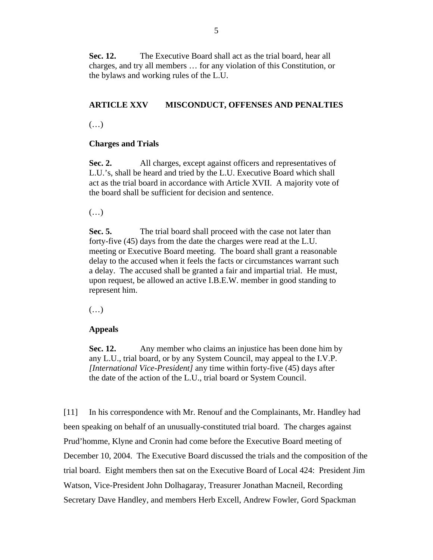**Sec. 12.** The Executive Board shall act as the trial board, hear all charges, and try all members … for any violation of this Constitution, or the bylaws and working rules of the L.U.

# **ARTICLE XXV MISCONDUCT, OFFENSES AND PENALTIES**

 $(\ldots)$ 

## **Charges and Trials**

Sec. 2. All charges, except against officers and representatives of L.U.'s, shall be heard and tried by the L.U. Executive Board which shall act as the trial board in accordance with Article XVII. A majority vote of the board shall be sufficient for decision and sentence.

(…)

**Sec. 5.** The trial board shall proceed with the case not later than forty-five (45) days from the date the charges were read at the L.U. meeting or Executive Board meeting. The board shall grant a reasonable delay to the accused when it feels the facts or circumstances warrant such a delay. The accused shall be granted a fair and impartial trial. He must, upon request, be allowed an active I.B.E.W. member in good standing to represent him.

(…)

# **Appeals**

**Sec. 12.** Any member who claims an injustice has been done him by any L.U., trial board, or by any System Council, may appeal to the I.V.P. *[International Vice-President]* any time within forty-five (45) days after the date of the action of the L.U., trial board or System Council.

[11] In his correspondence with Mr. Renouf and the Complainants, Mr. Handley had been speaking on behalf of an unusually-constituted trial board. The charges against Prud'homme, Klyne and Cronin had come before the Executive Board meeting of December 10, 2004. The Executive Board discussed the trials and the composition of the trial board. Eight members then sat on the Executive Board of Local 424: President Jim Watson, Vice-President John Dolhagaray, Treasurer Jonathan Macneil, Recording Secretary Dave Handley, and members Herb Excell, Andrew Fowler, Gord Spackman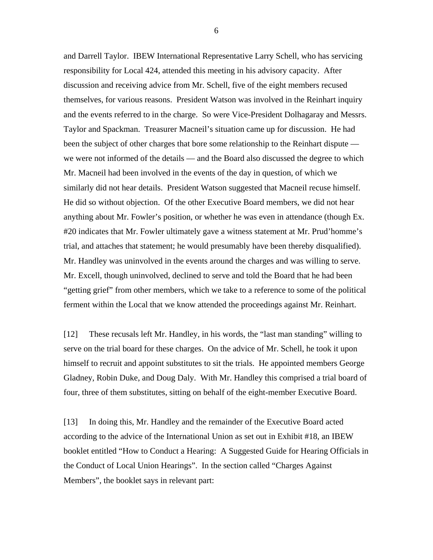and Darrell Taylor. IBEW International Representative Larry Schell, who has servicing responsibility for Local 424, attended this meeting in his advisory capacity. After discussion and receiving advice from Mr. Schell, five of the eight members recused themselves, for various reasons. President Watson was involved in the Reinhart inquiry and the events referred to in the charge. So were Vice-President Dolhagaray and Messrs. Taylor and Spackman. Treasurer Macneil's situation came up for discussion. He had been the subject of other charges that bore some relationship to the Reinhart dispute we were not informed of the details — and the Board also discussed the degree to which Mr. Macneil had been involved in the events of the day in question, of which we similarly did not hear details. President Watson suggested that Macneil recuse himself. He did so without objection. Of the other Executive Board members, we did not hear anything about Mr. Fowler's position, or whether he was even in attendance (though Ex. #20 indicates that Mr. Fowler ultimately gave a witness statement at Mr. Prud'homme's trial, and attaches that statement; he would presumably have been thereby disqualified). Mr. Handley was uninvolved in the events around the charges and was willing to serve. Mr. Excell, though uninvolved, declined to serve and told the Board that he had been "getting grief" from other members, which we take to a reference to some of the political ferment within the Local that we know attended the proceedings against Mr. Reinhart.

[12] These recusals left Mr. Handley, in his words, the "last man standing" willing to serve on the trial board for these charges. On the advice of Mr. Schell, he took it upon himself to recruit and appoint substitutes to sit the trials. He appointed members George Gladney, Robin Duke, and Doug Daly. With Mr. Handley this comprised a trial board of four, three of them substitutes, sitting on behalf of the eight-member Executive Board.

[13] In doing this, Mr. Handley and the remainder of the Executive Board acted according to the advice of the International Union as set out in Exhibit #18, an IBEW booklet entitled "How to Conduct a Hearing: A Suggested Guide for Hearing Officials in the Conduct of Local Union Hearings". In the section called "Charges Against Members", the booklet says in relevant part:

6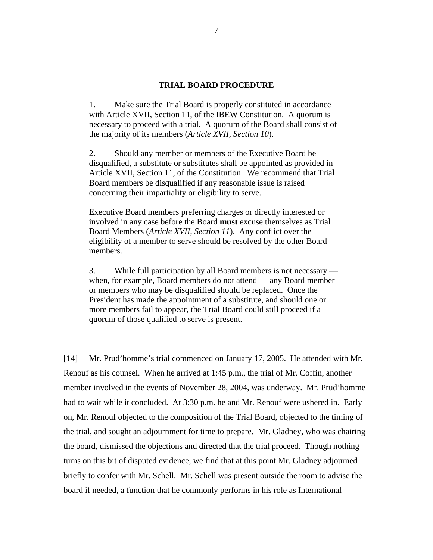#### **TRIAL BOARD PROCEDURE**

1. Make sure the Trial Board is properly constituted in accordance with Article XVII, Section 11, of the IBEW Constitution. A quorum is necessary to proceed with a trial. A quorum of the Board shall consist of the majority of its members (*Article XVII, Section 10*).

2. Should any member or members of the Executive Board be disqualified, a substitute or substitutes shall be appointed as provided in Article XVII, Section 11, of the Constitution. We recommend that Trial Board members be disqualified if any reasonable issue is raised concerning their impartiality or eligibility to serve.

Executive Board members preferring charges or directly interested or involved in any case before the Board **must** excuse themselves as Trial Board Members (*Article XVII, Section 11*). Any conflict over the eligibility of a member to serve should be resolved by the other Board members.

3. While full participation by all Board members is not necessary when, for example, Board members do not attend — any Board member or members who may be disqualified should be replaced. Once the President has made the appointment of a substitute, and should one or more members fail to appear, the Trial Board could still proceed if a quorum of those qualified to serve is present.

[14] Mr. Prud'homme's trial commenced on January 17, 2005. He attended with Mr. Renouf as his counsel. When he arrived at 1:45 p.m., the trial of Mr. Coffin, another member involved in the events of November 28, 2004, was underway. Mr. Prud'homme had to wait while it concluded. At 3:30 p.m. he and Mr. Renouf were ushered in. Early on, Mr. Renouf objected to the composition of the Trial Board, objected to the timing of the trial, and sought an adjournment for time to prepare. Mr. Gladney, who was chairing the board, dismissed the objections and directed that the trial proceed. Though nothing turns on this bit of disputed evidence, we find that at this point Mr. Gladney adjourned briefly to confer with Mr. Schell. Mr. Schell was present outside the room to advise the board if needed, a function that he commonly performs in his role as International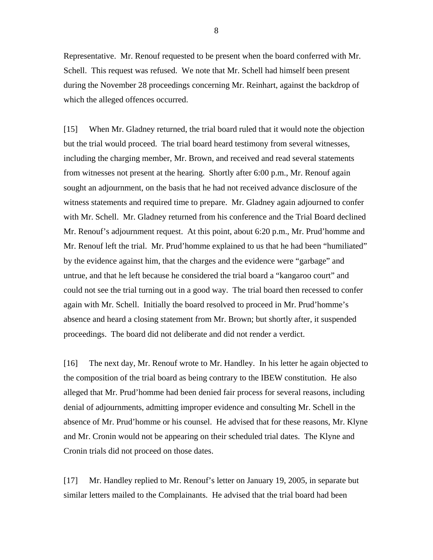Representative. Mr. Renouf requested to be present when the board conferred with Mr. Schell. This request was refused. We note that Mr. Schell had himself been present during the November 28 proceedings concerning Mr. Reinhart, against the backdrop of which the alleged offences occurred.

[15] When Mr. Gladney returned, the trial board ruled that it would note the objection but the trial would proceed. The trial board heard testimony from several witnesses, including the charging member, Mr. Brown, and received and read several statements from witnesses not present at the hearing. Shortly after 6:00 p.m., Mr. Renouf again sought an adjournment, on the basis that he had not received advance disclosure of the witness statements and required time to prepare. Mr. Gladney again adjourned to confer with Mr. Schell. Mr. Gladney returned from his conference and the Trial Board declined Mr. Renouf's adjournment request. At this point, about 6:20 p.m., Mr. Prud'homme and Mr. Renouf left the trial. Mr. Prud'homme explained to us that he had been "humiliated" by the evidence against him, that the charges and the evidence were "garbage" and untrue, and that he left because he considered the trial board a "kangaroo court" and could not see the trial turning out in a good way. The trial board then recessed to confer again with Mr. Schell. Initially the board resolved to proceed in Mr. Prud'homme's absence and heard a closing statement from Mr. Brown; but shortly after, it suspended proceedings. The board did not deliberate and did not render a verdict.

[16] The next day, Mr. Renouf wrote to Mr. Handley. In his letter he again objected to the composition of the trial board as being contrary to the IBEW constitution. He also alleged that Mr. Prud'homme had been denied fair process for several reasons, including denial of adjournments, admitting improper evidence and consulting Mr. Schell in the absence of Mr. Prud'homme or his counsel. He advised that for these reasons, Mr. Klyne and Mr. Cronin would not be appearing on their scheduled trial dates. The Klyne and Cronin trials did not proceed on those dates.

[17] Mr. Handley replied to Mr. Renouf's letter on January 19, 2005, in separate but similar letters mailed to the Complainants. He advised that the trial board had been

8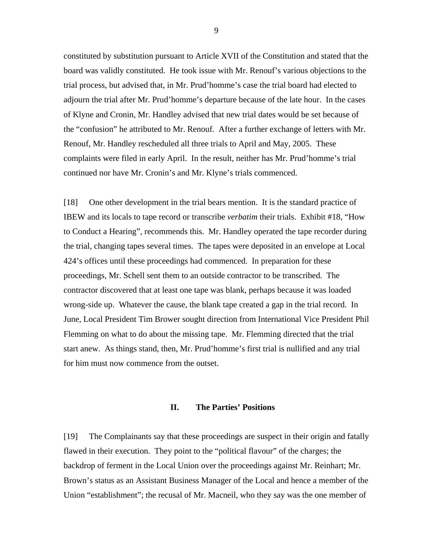constituted by substitution pursuant to Article XVII of the Constitution and stated that the board was validly constituted. He took issue with Mr. Renouf's various objections to the trial process, but advised that, in Mr. Prud'homme's case the trial board had elected to adjourn the trial after Mr. Prud'homme's departure because of the late hour. In the cases of Klyne and Cronin, Mr. Handley advised that new trial dates would be set because of the "confusion" he attributed to Mr. Renouf. After a further exchange of letters with Mr. Renouf, Mr. Handley rescheduled all three trials to April and May, 2005. These complaints were filed in early April. In the result, neither has Mr. Prud'homme's trial continued nor have Mr. Cronin's and Mr. Klyne's trials commenced.

[18] One other development in the trial bears mention. It is the standard practice of IBEW and its locals to tape record or transcribe *verbatim* their trials. Exhibit #18, "How to Conduct a Hearing", recommends this. Mr. Handley operated the tape recorder during the trial, changing tapes several times. The tapes were deposited in an envelope at Local 424's offices until these proceedings had commenced. In preparation for these proceedings, Mr. Schell sent them to an outside contractor to be transcribed. The contractor discovered that at least one tape was blank, perhaps because it was loaded wrong-side up. Whatever the cause, the blank tape created a gap in the trial record. In June, Local President Tim Brower sought direction from International Vice President Phil Flemming on what to do about the missing tape. Mr. Flemming directed that the trial start anew. As things stand, then, Mr. Prud'homme's first trial is nullified and any trial for him must now commence from the outset.

#### **II. The Parties' Positions**

[19] The Complainants say that these proceedings are suspect in their origin and fatally flawed in their execution. They point to the "political flavour" of the charges; the backdrop of ferment in the Local Union over the proceedings against Mr. Reinhart; Mr. Brown's status as an Assistant Business Manager of the Local and hence a member of the Union "establishment"; the recusal of Mr. Macneil, who they say was the one member of

9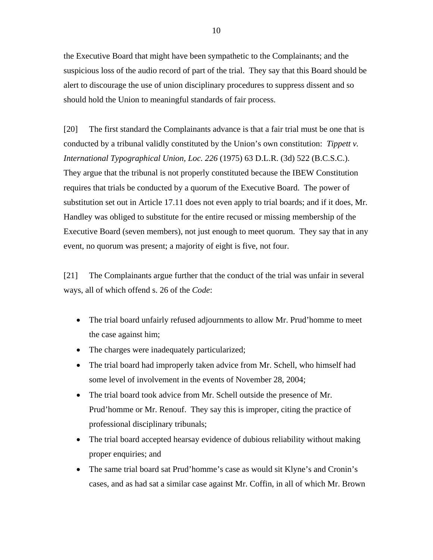the Executive Board that might have been sympathetic to the Complainants; and the suspicious loss of the audio record of part of the trial. They say that this Board should be alert to discourage the use of union disciplinary procedures to suppress dissent and so should hold the Union to meaningful standards of fair process.

[20] The first standard the Complainants advance is that a fair trial must be one that is conducted by a tribunal validly constituted by the Union's own constitution: *Tippett v. International Typographical Union, Loc. 226* (1975) 63 D.L.R. (3d) 522 (B.C.S.C.). They argue that the tribunal is not properly constituted because the IBEW Constitution requires that trials be conducted by a quorum of the Executive Board. The power of substitution set out in Article 17.11 does not even apply to trial boards; and if it does, Mr. Handley was obliged to substitute for the entire recused or missing membership of the Executive Board (seven members), not just enough to meet quorum. They say that in any event, no quorum was present; a majority of eight is five, not four.

[21] The Complainants argue further that the conduct of the trial was unfair in several ways, all of which offend s. 26 of the *Code*:

- The trial board unfairly refused adjournments to allow Mr. Prud'homme to meet the case against him;
- The charges were inadequately particularized;
- The trial board had improperly taken advice from Mr. Schell, who himself had some level of involvement in the events of November 28, 2004;
- The trial board took advice from Mr. Schell outside the presence of Mr. Prud'homme or Mr. Renouf. They say this is improper, citing the practice of professional disciplinary tribunals;
- The trial board accepted hearsay evidence of dubious reliability without making proper enquiries; and
- The same trial board sat Prud'homme's case as would sit Klyne's and Cronin's cases, and as had sat a similar case against Mr. Coffin, in all of which Mr. Brown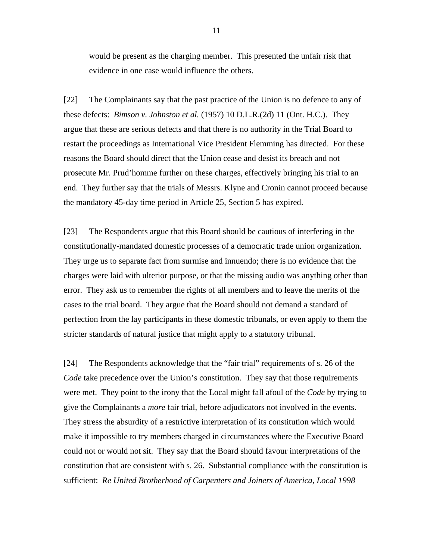would be present as the charging member. This presented the unfair risk that evidence in one case would influence the others.

[22] The Complainants say that the past practice of the Union is no defence to any of these defects: *Bimson v. Johnston et al.* (1957) 10 D.L.R.(2d) 11 (Ont. H.C.). They argue that these are serious defects and that there is no authority in the Trial Board to restart the proceedings as International Vice President Flemming has directed. For these reasons the Board should direct that the Union cease and desist its breach and not prosecute Mr. Prud'homme further on these charges, effectively bringing his trial to an end. They further say that the trials of Messrs. Klyne and Cronin cannot proceed because the mandatory 45-day time period in Article 25, Section 5 has expired.

[23] The Respondents argue that this Board should be cautious of interfering in the constitutionally-mandated domestic processes of a democratic trade union organization. They urge us to separate fact from surmise and innuendo; there is no evidence that the charges were laid with ulterior purpose, or that the missing audio was anything other than error. They ask us to remember the rights of all members and to leave the merits of the cases to the trial board. They argue that the Board should not demand a standard of perfection from the lay participants in these domestic tribunals, or even apply to them the stricter standards of natural justice that might apply to a statutory tribunal.

[24] The Respondents acknowledge that the "fair trial" requirements of s. 26 of the *Code* take precedence over the Union's constitution. They say that those requirements were met. They point to the irony that the Local might fall afoul of the *Code* by trying to give the Complainants a *more* fair trial, before adjudicators not involved in the events. They stress the absurdity of a restrictive interpretation of its constitution which would make it impossible to try members charged in circumstances where the Executive Board could not or would not sit. They say that the Board should favour interpretations of the constitution that are consistent with s. 26. Substantial compliance with the constitution is sufficient: *Re United Brotherhood of Carpenters and Joiners of America, Local 1998*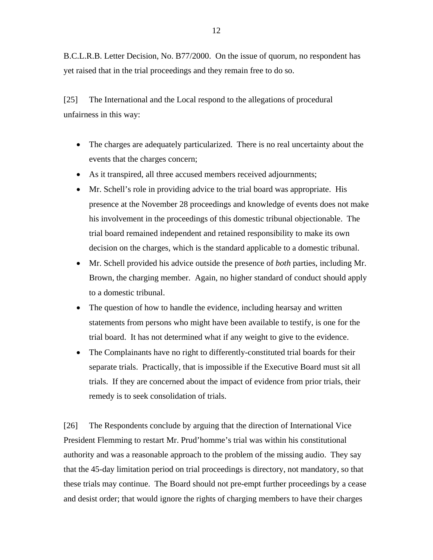B.C.L.R.B. Letter Decision, No. B77/2000. On the issue of quorum, no respondent has yet raised that in the trial proceedings and they remain free to do so.

[25] The International and the Local respond to the allegations of procedural unfairness in this way:

- The charges are adequately particularized. There is no real uncertainty about the events that the charges concern;
- As it transpired, all three accused members received adjournments;
- Mr. Schell's role in providing advice to the trial board was appropriate. His presence at the November 28 proceedings and knowledge of events does not make his involvement in the proceedings of this domestic tribunal objectionable. The trial board remained independent and retained responsibility to make its own decision on the charges, which is the standard applicable to a domestic tribunal.
- Mr. Schell provided his advice outside the presence of *both* parties, including Mr. Brown, the charging member. Again, no higher standard of conduct should apply to a domestic tribunal.
- The question of how to handle the evidence, including hearsay and written statements from persons who might have been available to testify, is one for the trial board. It has not determined what if any weight to give to the evidence.
- The Complainants have no right to differently-constituted trial boards for their separate trials. Practically, that is impossible if the Executive Board must sit all trials. If they are concerned about the impact of evidence from prior trials, their remedy is to seek consolidation of trials.

[26] The Respondents conclude by arguing that the direction of International Vice President Flemming to restart Mr. Prud'homme's trial was within his constitutional authority and was a reasonable approach to the problem of the missing audio. They say that the 45-day limitation period on trial proceedings is directory, not mandatory, so that these trials may continue. The Board should not pre-empt further proceedings by a cease and desist order; that would ignore the rights of charging members to have their charges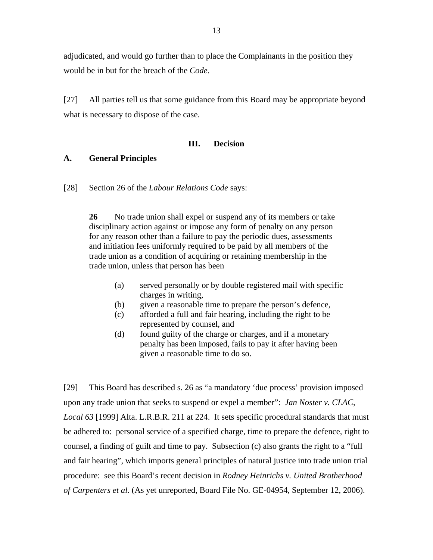adjudicated, and would go further than to place the Complainants in the position they would be in but for the breach of the *Code*.

[27] All parties tell us that some guidance from this Board may be appropriate beyond what is necessary to dispose of the case.

#### **III. Decision**

#### **A. General Principles**

[28] Section 26 of the *Labour Relations Code* says:

**26** No trade union shall expel or suspend any of its members or take disciplinary action against or impose any form of penalty on any person for any reason other than a failure to pay the periodic dues, assessments and initiation fees uniformly required to be paid by all members of the trade union as a condition of acquiring or retaining membership in the trade union, unless that person has been

- (a) served personally or by double registered mail with specific charges in writing,
- (b) given a reasonable time to prepare the person's defence,
- (c) afforded a full and fair hearing, including the right to be represented by counsel, and
- (d) found guilty of the charge or charges, and if a monetary penalty has been imposed, fails to pay it after having been given a reasonable time to do so.

[29] This Board has described s. 26 as "a mandatory 'due process' provision imposed upon any trade union that seeks to suspend or expel a member": *Jan Noster v. CLAC, Local 63* [1999] Alta. L.R.B.R. 211 at 224. It sets specific procedural standards that must be adhered to: personal service of a specified charge, time to prepare the defence, right to counsel, a finding of guilt and time to pay. Subsection (c) also grants the right to a "full and fair hearing", which imports general principles of natural justice into trade union trial procedure: see this Board's recent decision in *Rodney Heinrichs v. United Brotherhood of Carpenters et al.* (As yet unreported, Board File No. GE-04954, September 12, 2006).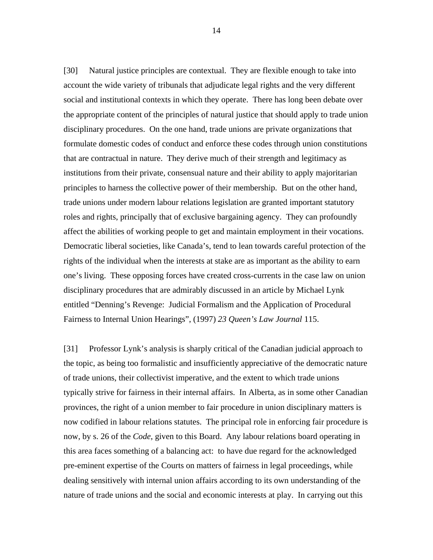[30] Natural justice principles are contextual. They are flexible enough to take into account the wide variety of tribunals that adjudicate legal rights and the very different social and institutional contexts in which they operate. There has long been debate over the appropriate content of the principles of natural justice that should apply to trade union disciplinary procedures. On the one hand, trade unions are private organizations that formulate domestic codes of conduct and enforce these codes through union constitutions that are contractual in nature. They derive much of their strength and legitimacy as institutions from their private, consensual nature and their ability to apply majoritarian principles to harness the collective power of their membership. But on the other hand, trade unions under modern labour relations legislation are granted important statutory roles and rights, principally that of exclusive bargaining agency. They can profoundly affect the abilities of working people to get and maintain employment in their vocations. Democratic liberal societies, like Canada's, tend to lean towards careful protection of the rights of the individual when the interests at stake are as important as the ability to earn one's living. These opposing forces have created cross-currents in the case law on union disciplinary procedures that are admirably discussed in an article by Michael Lynk entitled "Denning's Revenge: Judicial Formalism and the Application of Procedural Fairness to Internal Union Hearings", (1997) *23 Queen's Law Journal* 115.

[31] Professor Lynk's analysis is sharply critical of the Canadian judicial approach to the topic, as being too formalistic and insufficiently appreciative of the democratic nature of trade unions, their collectivist imperative, and the extent to which trade unions typically strive for fairness in their internal affairs. In Alberta, as in some other Canadian provinces, the right of a union member to fair procedure in union disciplinary matters is now codified in labour relations statutes. The principal role in enforcing fair procedure is now, by s. 26 of the *Code*, given to this Board. Any labour relations board operating in this area faces something of a balancing act: to have due regard for the acknowledged pre-eminent expertise of the Courts on matters of fairness in legal proceedings, while dealing sensitively with internal union affairs according to its own understanding of the nature of trade unions and the social and economic interests at play. In carrying out this

14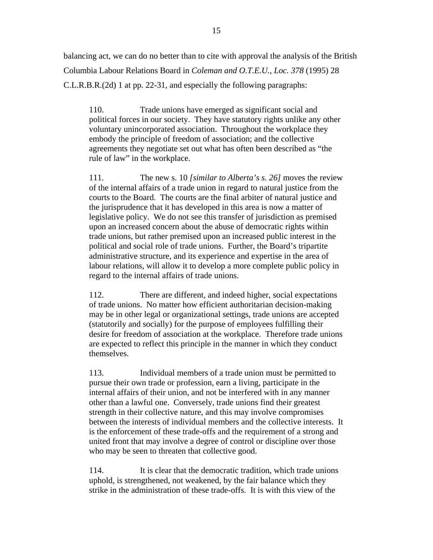balancing act, we can do no better than to cite with approval the analysis of the British Columbia Labour Relations Board in *Coleman and O.T.E.U., Loc. 378* (1995) 28 C.L.R.B.R.(2d) 1 at pp. 22-31, and especially the following paragraphs:

110. Trade unions have emerged as significant social and political forces in our society. They have statutory rights unlike any other voluntary unincorporated association. Throughout the workplace they embody the principle of freedom of association; and the collective agreements they negotiate set out what has often been described as "the rule of law" in the workplace.

111. The new s. 10 *[similar to Alberta's s. 26]* moves the review of the internal affairs of a trade union in regard to natural justice from the courts to the Board. The courts are the final arbiter of natural justice and the jurisprudence that it has developed in this area is now a matter of legislative policy. We do not see this transfer of jurisdiction as premised upon an increased concern about the abuse of democratic rights within trade unions, but rather premised upon an increased public interest in the political and social role of trade unions. Further, the Board's tripartite administrative structure, and its experience and expertise in the area of labour relations, will allow it to develop a more complete public policy in regard to the internal affairs of trade unions.

112. There are different, and indeed higher, social expectations of trade unions. No matter how efficient authoritarian decision-making may be in other legal or organizational settings, trade unions are accepted (statutorily and socially) for the purpose of employees fulfilling their desire for freedom of association at the workplace. Therefore trade unions are expected to reflect this principle in the manner in which they conduct themselves.

113. Individual members of a trade union must be permitted to pursue their own trade or profession, earn a living, participate in the internal affairs of their union, and not be interfered with in any manner other than a lawful one. Conversely, trade unions find their greatest strength in their collective nature, and this may involve compromises between the interests of individual members and the collective interests. It is the enforcement of these trade-offs and the requirement of a strong and united front that may involve a degree of control or discipline over those who may be seen to threaten that collective good.

114. It is clear that the democratic tradition, which trade unions uphold, is strengthened, not weakened, by the fair balance which they strike in the administration of these trade-offs. It is with this view of the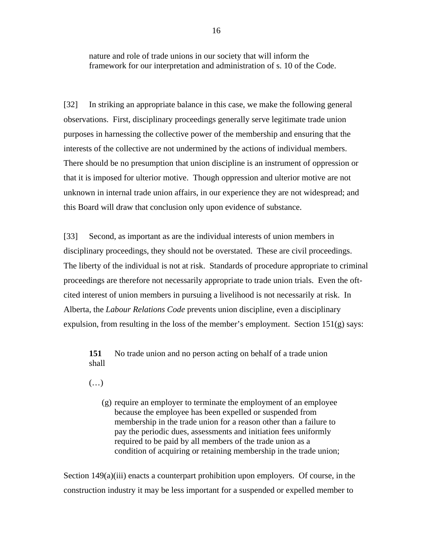nature and role of trade unions in our society that will inform the framework for our interpretation and administration of s. 10 of the Code.

[32] In striking an appropriate balance in this case, we make the following general observations. First, disciplinary proceedings generally serve legitimate trade union purposes in harnessing the collective power of the membership and ensuring that the interests of the collective are not undermined by the actions of individual members. There should be no presumption that union discipline is an instrument of oppression or that it is imposed for ulterior motive. Though oppression and ulterior motive are not unknown in internal trade union affairs, in our experience they are not widespread; and this Board will draw that conclusion only upon evidence of substance.

[33] Second, as important as are the individual interests of union members in disciplinary proceedings, they should not be overstated. These are civil proceedings. The liberty of the individual is not at risk. Standards of procedure appropriate to criminal proceedings are therefore not necessarily appropriate to trade union trials. Even the oftcited interest of union members in pursuing a livelihood is not necessarily at risk. In Alberta, the *Labour Relations Code* prevents union discipline, even a disciplinary expulsion, from resulting in the loss of the member's employment. Section  $151(g)$  says:

**151** No trade union and no person acting on behalf of a trade union shall

(…)

(g) require an employer to terminate the employment of an employee because the employee has been expelled or suspended from membership in the trade union for a reason other than a failure to pay the periodic dues, assessments and initiation fees uniformly required to be paid by all members of the trade union as a condition of acquiring or retaining membership in the trade union;

Section 149(a)(iii) enacts a counterpart prohibition upon employers. Of course, in the construction industry it may be less important for a suspended or expelled member to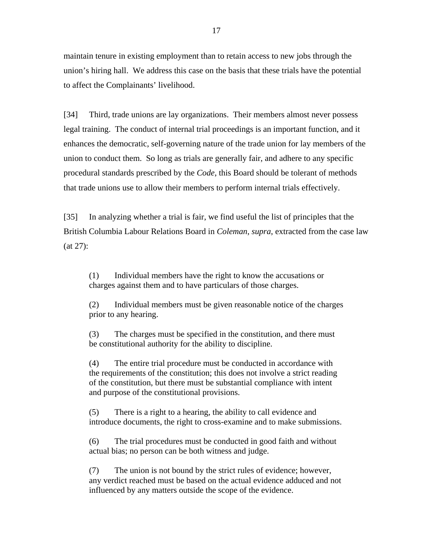maintain tenure in existing employment than to retain access to new jobs through the union's hiring hall. We address this case on the basis that these trials have the potential to affect the Complainants' livelihood.

[34] Third, trade unions are lay organizations. Their members almost never possess legal training. The conduct of internal trial proceedings is an important function, and it enhances the democratic, self-governing nature of the trade union for lay members of the union to conduct them. So long as trials are generally fair, and adhere to any specific procedural standards prescribed by the *Code*, this Board should be tolerant of methods that trade unions use to allow their members to perform internal trials effectively.

[35] In analyzing whether a trial is fair, we find useful the list of principles that the British Columbia Labour Relations Board in *Coleman*, *supra*, extracted from the case law (at 27):

(1) Individual members have the right to know the accusations or charges against them and to have particulars of those charges.

(2) Individual members must be given reasonable notice of the charges prior to any hearing.

(3) The charges must be specified in the constitution, and there must be constitutional authority for the ability to discipline.

(4) The entire trial procedure must be conducted in accordance with the requirements of the constitution; this does not involve a strict reading of the constitution, but there must be substantial compliance with intent and purpose of the constitutional provisions.

(5) There is a right to a hearing, the ability to call evidence and introduce documents, the right to cross-examine and to make submissions.

(6) The trial procedures must be conducted in good faith and without actual bias; no person can be both witness and judge.

(7) The union is not bound by the strict rules of evidence; however, any verdict reached must be based on the actual evidence adduced and not influenced by any matters outside the scope of the evidence.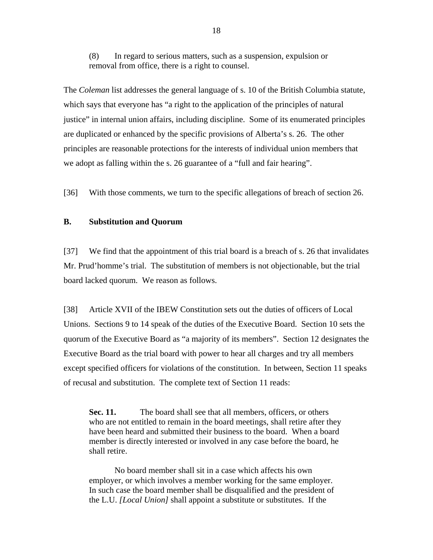(8) In regard to serious matters, such as a suspension, expulsion or removal from office, there is a right to counsel.

The *Coleman* list addresses the general language of s. 10 of the British Columbia statute, which says that everyone has "a right to the application of the principles of natural justice" in internal union affairs, including discipline. Some of its enumerated principles are duplicated or enhanced by the specific provisions of Alberta's s. 26. The other principles are reasonable protections for the interests of individual union members that we adopt as falling within the s. 26 guarantee of a "full and fair hearing".

[36] With those comments, we turn to the specific allegations of breach of section 26.

## **B. Substitution and Quorum**

[37] We find that the appointment of this trial board is a breach of s. 26 that invalidates Mr. Prud'homme's trial. The substitution of members is not objectionable, but the trial board lacked quorum. We reason as follows.

[38] Article XVII of the IBEW Constitution sets out the duties of officers of Local Unions. Sections 9 to 14 speak of the duties of the Executive Board. Section 10 sets the quorum of the Executive Board as "a majority of its members". Section 12 designates the Executive Board as the trial board with power to hear all charges and try all members except specified officers for violations of the constitution. In between, Section 11 speaks of recusal and substitution. The complete text of Section 11 reads:

Sec. 11. The board shall see that all members, officers, or others who are not entitled to remain in the board meetings, shall retire after they have been heard and submitted their business to the board. When a board member is directly interested or involved in any case before the board, he shall retire.

No board member shall sit in a case which affects his own employer, or which involves a member working for the same employer. In such case the board member shall be disqualified and the president of the L.U. *[Local Union]* shall appoint a substitute or substitutes. If the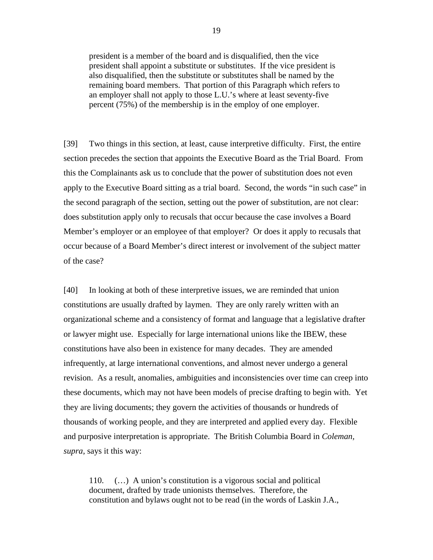president is a member of the board and is disqualified, then the vice president shall appoint a substitute or substitutes. If the vice president is also disqualified, then the substitute or substitutes shall be named by the remaining board members. That portion of this Paragraph which refers to an employer shall not apply to those L.U.'s where at least seventy-five percent (75%) of the membership is in the employ of one employer.

[39] Two things in this section, at least, cause interpretive difficulty. First, the entire section precedes the section that appoints the Executive Board as the Trial Board. From this the Complainants ask us to conclude that the power of substitution does not even apply to the Executive Board sitting as a trial board. Second, the words "in such case" in the second paragraph of the section, setting out the power of substitution, are not clear: does substitution apply only to recusals that occur because the case involves a Board Member's employer or an employee of that employer? Or does it apply to recusals that occur because of a Board Member's direct interest or involvement of the subject matter of the case?

[40] In looking at both of these interpretive issues, we are reminded that union constitutions are usually drafted by laymen. They are only rarely written with an organizational scheme and a consistency of format and language that a legislative drafter or lawyer might use. Especially for large international unions like the IBEW, these constitutions have also been in existence for many decades. They are amended infrequently, at large international conventions, and almost never undergo a general revision. As a result, anomalies, ambiguities and inconsistencies over time can creep into these documents, which may not have been models of precise drafting to begin with. Yet they are living documents; they govern the activities of thousands or hundreds of thousands of working people, and they are interpreted and applied every day. Flexible and purposive interpretation is appropriate. The British Columbia Board in *Coleman, supra*, says it this way:

110. (…) A union's constitution is a vigorous social and political document, drafted by trade unionists themselves. Therefore, the constitution and bylaws ought not to be read (in the words of Laskin J.A.,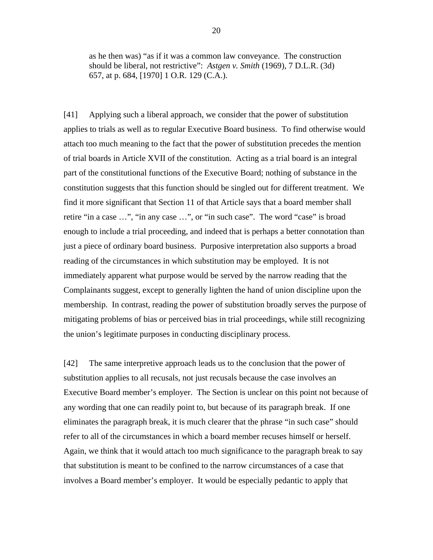as he then was) "as if it was a common law conveyance. The construction should be liberal, not restrictive": *Astgen v. Smith* (1969), 7 D.L.R. (3d) 657, at p. 684, [1970] 1 O.R. 129 (C.A.).

[41] Applying such a liberal approach, we consider that the power of substitution applies to trials as well as to regular Executive Board business. To find otherwise would attach too much meaning to the fact that the power of substitution precedes the mention of trial boards in Article XVII of the constitution. Acting as a trial board is an integral part of the constitutional functions of the Executive Board; nothing of substance in the constitution suggests that this function should be singled out for different treatment. We find it more significant that Section 11 of that Article says that a board member shall retire "in a case …", "in any case …", or "in such case". The word "case" is broad enough to include a trial proceeding, and indeed that is perhaps a better connotation than just a piece of ordinary board business. Purposive interpretation also supports a broad reading of the circumstances in which substitution may be employed. It is not immediately apparent what purpose would be served by the narrow reading that the Complainants suggest, except to generally lighten the hand of union discipline upon the membership. In contrast, reading the power of substitution broadly serves the purpose of mitigating problems of bias or perceived bias in trial proceedings, while still recognizing the union's legitimate purposes in conducting disciplinary process.

[42] The same interpretive approach leads us to the conclusion that the power of substitution applies to all recusals, not just recusals because the case involves an Executive Board member's employer. The Section is unclear on this point not because of any wording that one can readily point to, but because of its paragraph break. If one eliminates the paragraph break, it is much clearer that the phrase "in such case" should refer to all of the circumstances in which a board member recuses himself or herself. Again, we think that it would attach too much significance to the paragraph break to say that substitution is meant to be confined to the narrow circumstances of a case that involves a Board member's employer. It would be especially pedantic to apply that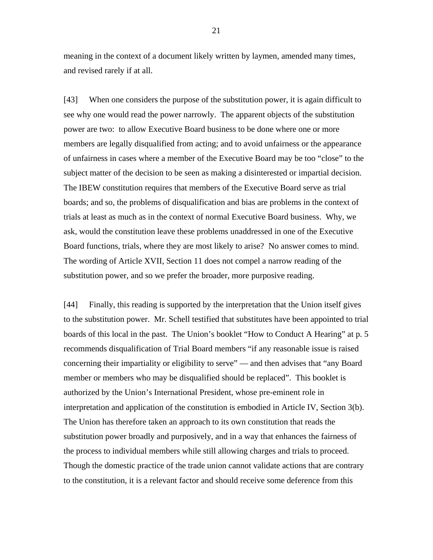meaning in the context of a document likely written by laymen, amended many times, and revised rarely if at all.

[43] When one considers the purpose of the substitution power, it is again difficult to see why one would read the power narrowly. The apparent objects of the substitution power are two: to allow Executive Board business to be done where one or more members are legally disqualified from acting; and to avoid unfairness or the appearance of unfairness in cases where a member of the Executive Board may be too "close" to the subject matter of the decision to be seen as making a disinterested or impartial decision. The IBEW constitution requires that members of the Executive Board serve as trial boards; and so, the problems of disqualification and bias are problems in the context of trials at least as much as in the context of normal Executive Board business. Why, we ask, would the constitution leave these problems unaddressed in one of the Executive Board functions, trials, where they are most likely to arise? No answer comes to mind. The wording of Article XVII, Section 11 does not compel a narrow reading of the substitution power, and so we prefer the broader, more purposive reading.

[44] Finally, this reading is supported by the interpretation that the Union itself gives to the substitution power. Mr. Schell testified that substitutes have been appointed to trial boards of this local in the past. The Union's booklet "How to Conduct A Hearing" at p. 5 recommends disqualification of Trial Board members "if any reasonable issue is raised concerning their impartiality or eligibility to serve" — and then advises that "any Board member or members who may be disqualified should be replaced". This booklet is authorized by the Union's International President, whose pre-eminent role in interpretation and application of the constitution is embodied in Article IV, Section 3(b). The Union has therefore taken an approach to its own constitution that reads the substitution power broadly and purposively, and in a way that enhances the fairness of the process to individual members while still allowing charges and trials to proceed. Though the domestic practice of the trade union cannot validate actions that are contrary to the constitution, it is a relevant factor and should receive some deference from this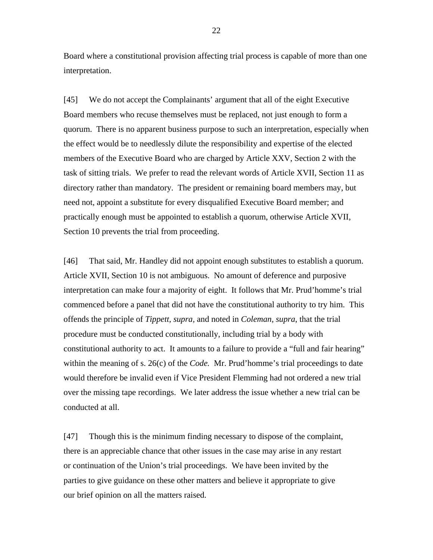Board where a constitutional provision affecting trial process is capable of more than one interpretation.

[45] We do not accept the Complainants' argument that all of the eight Executive Board members who recuse themselves must be replaced, not just enough to form a quorum. There is no apparent business purpose to such an interpretation, especially when the effect would be to needlessly dilute the responsibility and expertise of the elected members of the Executive Board who are charged by Article XXV, Section 2 with the task of sitting trials. We prefer to read the relevant words of Article XVII, Section 11 as directory rather than mandatory. The president or remaining board members may, but need not, appoint a substitute for every disqualified Executive Board member; and practically enough must be appointed to establish a quorum, otherwise Article XVII, Section 10 prevents the trial from proceeding.

[46] That said, Mr. Handley did not appoint enough substitutes to establish a quorum. Article XVII, Section 10 is not ambiguous. No amount of deference and purposive interpretation can make four a majority of eight. It follows that Mr. Prud'homme's trial commenced before a panel that did not have the constitutional authority to try him. This offends the principle of *Tippett, supra,* and noted in *Coleman, supra*, that the trial procedure must be conducted constitutionally, including trial by a body with constitutional authority to act. It amounts to a failure to provide a "full and fair hearing" within the meaning of s. 26(c) of the *Code.* Mr. Prud'homme's trial proceedings to date would therefore be invalid even if Vice President Flemming had not ordered a new trial over the missing tape recordings. We later address the issue whether a new trial can be conducted at all.

[47] Though this is the minimum finding necessary to dispose of the complaint, there is an appreciable chance that other issues in the case may arise in any restart or continuation of the Union's trial proceedings. We have been invited by the parties to give guidance on these other matters and believe it appropriate to give our brief opinion on all the matters raised.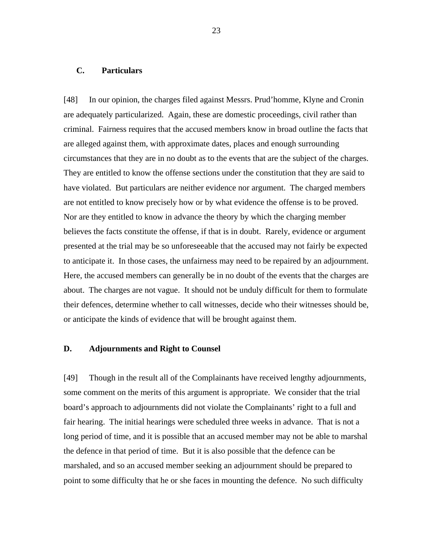## **C. Particulars**

[48] In our opinion, the charges filed against Messrs. Prud'homme, Klyne and Cronin are adequately particularized. Again, these are domestic proceedings, civil rather than criminal. Fairness requires that the accused members know in broad outline the facts that are alleged against them, with approximate dates, places and enough surrounding circumstances that they are in no doubt as to the events that are the subject of the charges. They are entitled to know the offense sections under the constitution that they are said to have violated. But particulars are neither evidence nor argument. The charged members are not entitled to know precisely how or by what evidence the offense is to be proved. Nor are they entitled to know in advance the theory by which the charging member believes the facts constitute the offense, if that is in doubt. Rarely, evidence or argument presented at the trial may be so unforeseeable that the accused may not fairly be expected to anticipate it. In those cases, the unfairness may need to be repaired by an adjournment. Here, the accused members can generally be in no doubt of the events that the charges are about. The charges are not vague. It should not be unduly difficult for them to formulate their defences, determine whether to call witnesses, decide who their witnesses should be, or anticipate the kinds of evidence that will be brought against them.

#### **D. Adjournments and Right to Counsel**

[49] Though in the result all of the Complainants have received lengthy adjournments, some comment on the merits of this argument is appropriate. We consider that the trial board's approach to adjournments did not violate the Complainants' right to a full and fair hearing. The initial hearings were scheduled three weeks in advance. That is not a long period of time, and it is possible that an accused member may not be able to marshal the defence in that period of time. But it is also possible that the defence can be marshaled, and so an accused member seeking an adjournment should be prepared to point to some difficulty that he or she faces in mounting the defence. No such difficulty

23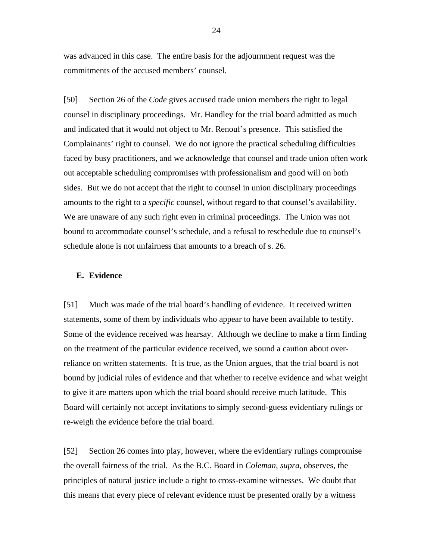was advanced in this case. The entire basis for the adjournment request was the commitments of the accused members' counsel.

[50] Section 26 of the *Code* gives accused trade union members the right to legal counsel in disciplinary proceedings. Mr. Handley for the trial board admitted as much and indicated that it would not object to Mr. Renouf's presence. This satisfied the Complainants' right to counsel. We do not ignore the practical scheduling difficulties faced by busy practitioners, and we acknowledge that counsel and trade union often work out acceptable scheduling compromises with professionalism and good will on both sides. But we do not accept that the right to counsel in union disciplinary proceedings amounts to the right to a *specific* counsel, without regard to that counsel's availability. We are unaware of any such right even in criminal proceedings. The Union was not bound to accommodate counsel's schedule, and a refusal to reschedule due to counsel's schedule alone is not unfairness that amounts to a breach of s. 26.

#### **E. Evidence**

[51] Much was made of the trial board's handling of evidence. It received written statements, some of them by individuals who appear to have been available to testify. Some of the evidence received was hearsay. Although we decline to make a firm finding on the treatment of the particular evidence received, we sound a caution about overreliance on written statements. It is true, as the Union argues, that the trial board is not bound by judicial rules of evidence and that whether to receive evidence and what weight to give it are matters upon which the trial board should receive much latitude. This Board will certainly not accept invitations to simply second-guess evidentiary rulings or re-weigh the evidence before the trial board.

[52] Section 26 comes into play, however, where the evidentiary rulings compromise the overall fairness of the trial. As the B.C. Board in *Coleman, supra*, observes, the principles of natural justice include a right to cross-examine witnesses. We doubt that this means that every piece of relevant evidence must be presented orally by a witness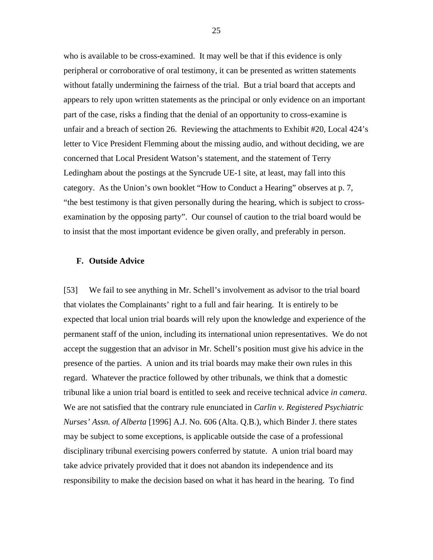who is available to be cross-examined. It may well be that if this evidence is only peripheral or corroborative of oral testimony, it can be presented as written statements without fatally undermining the fairness of the trial. But a trial board that accepts and appears to rely upon written statements as the principal or only evidence on an important part of the case, risks a finding that the denial of an opportunity to cross-examine is unfair and a breach of section 26. Reviewing the attachments to Exhibit #20, Local 424's letter to Vice President Flemming about the missing audio, and without deciding, we are concerned that Local President Watson's statement, and the statement of Terry Ledingham about the postings at the Syncrude UE-1 site, at least, may fall into this category. As the Union's own booklet "How to Conduct a Hearing" observes at p. 7, "the best testimony is that given personally during the hearing, which is subject to crossexamination by the opposing party". Our counsel of caution to the trial board would be to insist that the most important evidence be given orally, and preferably in person.

#### **F. Outside Advice**

[53] We fail to see anything in Mr. Schell's involvement as advisor to the trial board that violates the Complainants' right to a full and fair hearing. It is entirely to be expected that local union trial boards will rely upon the knowledge and experience of the permanent staff of the union, including its international union representatives. We do not accept the suggestion that an advisor in Mr. Schell's position must give his advice in the presence of the parties. A union and its trial boards may make their own rules in this regard. Whatever the practice followed by other tribunals, we think that a domestic tribunal like a union trial board is entitled to seek and receive technical advice *in camera*. We are not satisfied that the contrary rule enunciated in *Carlin v. Registered Psychiatric Nurses' Assn. of Alberta* [1996] A.J. No. 606 (Alta. Q.B.), which Binder J. there states may be subject to some exceptions, is applicable outside the case of a professional disciplinary tribunal exercising powers conferred by statute. A union trial board may take advice privately provided that it does not abandon its independence and its responsibility to make the decision based on what it has heard in the hearing. To find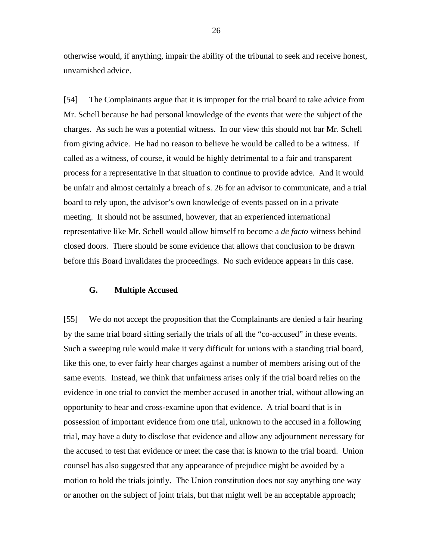otherwise would, if anything, impair the ability of the tribunal to seek and receive honest, unvarnished advice.

[54] The Complainants argue that it is improper for the trial board to take advice from Mr. Schell because he had personal knowledge of the events that were the subject of the charges. As such he was a potential witness. In our view this should not bar Mr. Schell from giving advice. He had no reason to believe he would be called to be a witness. If called as a witness, of course, it would be highly detrimental to a fair and transparent process for a representative in that situation to continue to provide advice. And it would be unfair and almost certainly a breach of s. 26 for an advisor to communicate, and a trial board to rely upon, the advisor's own knowledge of events passed on in a private meeting. It should not be assumed, however, that an experienced international representative like Mr. Schell would allow himself to become a *de facto* witness behind closed doors. There should be some evidence that allows that conclusion to be drawn before this Board invalidates the proceedings. No such evidence appears in this case.

## **G. Multiple Accused**

[55] We do not accept the proposition that the Complainants are denied a fair hearing by the same trial board sitting serially the trials of all the "co-accused" in these events. Such a sweeping rule would make it very difficult for unions with a standing trial board, like this one, to ever fairly hear charges against a number of members arising out of the same events. Instead, we think that unfairness arises only if the trial board relies on the evidence in one trial to convict the member accused in another trial, without allowing an opportunity to hear and cross-examine upon that evidence. A trial board that is in possession of important evidence from one trial, unknown to the accused in a following trial, may have a duty to disclose that evidence and allow any adjournment necessary for the accused to test that evidence or meet the case that is known to the trial board. Union counsel has also suggested that any appearance of prejudice might be avoided by a motion to hold the trials jointly. The Union constitution does not say anything one way or another on the subject of joint trials, but that might well be an acceptable approach;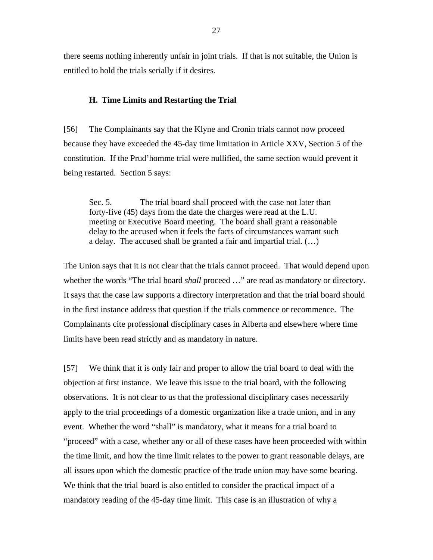there seems nothing inherently unfair in joint trials. If that is not suitable, the Union is entitled to hold the trials serially if it desires.

#### **H. Time Limits and Restarting the Trial**

[56] The Complainants say that the Klyne and Cronin trials cannot now proceed because they have exceeded the 45-day time limitation in Article XXV, Section 5 of the constitution. If the Prud'homme trial were nullified, the same section would prevent it being restarted. Section 5 says:

Sec. 5. The trial board shall proceed with the case not later than forty-five (45) days from the date the charges were read at the L.U. meeting or Executive Board meeting. The board shall grant a reasonable delay to the accused when it feels the facts of circumstances warrant such a delay. The accused shall be granted a fair and impartial trial. (…)

The Union says that it is not clear that the trials cannot proceed. That would depend upon whether the words "The trial board *shall* proceed ..." are read as mandatory or directory. It says that the case law supports a directory interpretation and that the trial board should in the first instance address that question if the trials commence or recommence. The Complainants cite professional disciplinary cases in Alberta and elsewhere where time limits have been read strictly and as mandatory in nature.

[57] We think that it is only fair and proper to allow the trial board to deal with the objection at first instance. We leave this issue to the trial board, with the following observations. It is not clear to us that the professional disciplinary cases necessarily apply to the trial proceedings of a domestic organization like a trade union, and in any event. Whether the word "shall" is mandatory, what it means for a trial board to "proceed" with a case, whether any or all of these cases have been proceeded with within the time limit, and how the time limit relates to the power to grant reasonable delays, are all issues upon which the domestic practice of the trade union may have some bearing. We think that the trial board is also entitled to consider the practical impact of a mandatory reading of the 45-day time limit. This case is an illustration of why a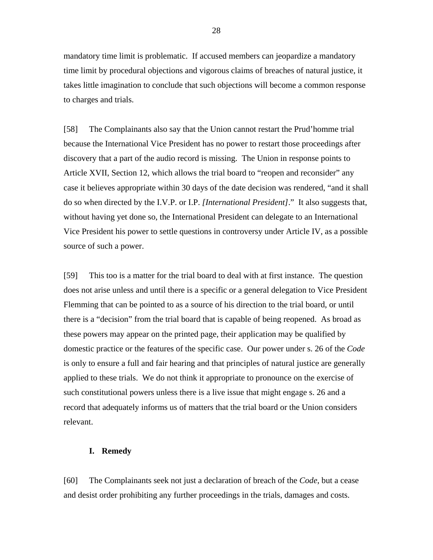mandatory time limit is problematic. If accused members can jeopardize a mandatory time limit by procedural objections and vigorous claims of breaches of natural justice, it takes little imagination to conclude that such objections will become a common response to charges and trials.

[58] The Complainants also say that the Union cannot restart the Prud'homme trial because the International Vice President has no power to restart those proceedings after discovery that a part of the audio record is missing. The Union in response points to Article XVII, Section 12, which allows the trial board to "reopen and reconsider" any case it believes appropriate within 30 days of the date decision was rendered, "and it shall do so when directed by the I.V.P. or I.P. *[International President]*." It also suggests that, without having yet done so, the International President can delegate to an International Vice President his power to settle questions in controversy under Article IV, as a possible source of such a power.

[59] This too is a matter for the trial board to deal with at first instance. The question does not arise unless and until there is a specific or a general delegation to Vice President Flemming that can be pointed to as a source of his direction to the trial board, or until there is a "decision" from the trial board that is capable of being reopened. As broad as these powers may appear on the printed page, their application may be qualified by domestic practice or the features of the specific case. Our power under s. 26 of the *Code* is only to ensure a full and fair hearing and that principles of natural justice are generally applied to these trials. We do not think it appropriate to pronounce on the exercise of such constitutional powers unless there is a live issue that might engage s. 26 and a record that adequately informs us of matters that the trial board or the Union considers relevant.

#### **I. Remedy**

[60] The Complainants seek not just a declaration of breach of the *Code*, but a cease and desist order prohibiting any further proceedings in the trials, damages and costs.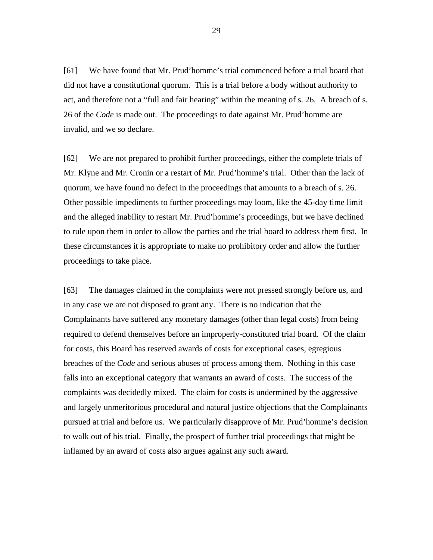[61] We have found that Mr. Prud'homme's trial commenced before a trial board that did not have a constitutional quorum. This is a trial before a body without authority to act, and therefore not a "full and fair hearing" within the meaning of s. 26. A breach of s. 26 of the *Code* is made out. The proceedings to date against Mr. Prud'homme are invalid, and we so declare.

[62] We are not prepared to prohibit further proceedings, either the complete trials of Mr. Klyne and Mr. Cronin or a restart of Mr. Prud'homme's trial. Other than the lack of quorum, we have found no defect in the proceedings that amounts to a breach of s. 26. Other possible impediments to further proceedings may loom, like the 45-day time limit and the alleged inability to restart Mr. Prud'homme's proceedings, but we have declined to rule upon them in order to allow the parties and the trial board to address them first. In these circumstances it is appropriate to make no prohibitory order and allow the further proceedings to take place.

[63] The damages claimed in the complaints were not pressed strongly before us, and in any case we are not disposed to grant any. There is no indication that the Complainants have suffered any monetary damages (other than legal costs) from being required to defend themselves before an improperly-constituted trial board. Of the claim for costs, this Board has reserved awards of costs for exceptional cases, egregious breaches of the *Code* and serious abuses of process among them. Nothing in this case falls into an exceptional category that warrants an award of costs. The success of the complaints was decidedly mixed. The claim for costs is undermined by the aggressive and largely unmeritorious procedural and natural justice objections that the Complainants pursued at trial and before us. We particularly disapprove of Mr. Prud'homme's decision to walk out of his trial. Finally, the prospect of further trial proceedings that might be inflamed by an award of costs also argues against any such award.